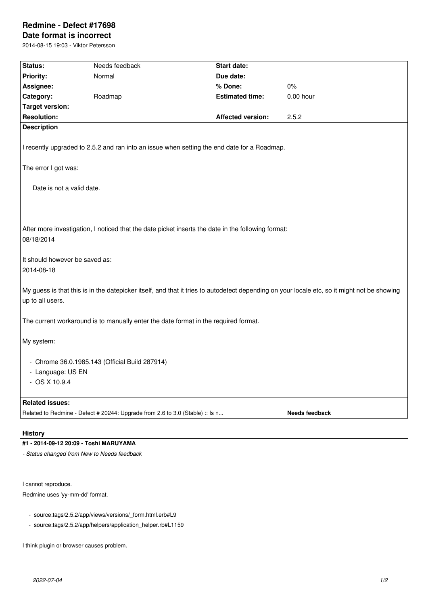# **Redmine - Defect #17698**

# **Date format is incorrect** 2014-08-15 19:03 - Viktor Petersson

**Status:** Needs feedback **Status: Start date: Priority:** Normal **Due date: Assignee: % Done:** 0% **Category:** Roadmap **Estimated time:** 0.00 hour **Target version: Resolution: Affected version:** 2.5.2 **Description** I recently upgraded to 2.5.2 and ran into an issue when setting the end date for a Roadmap. The error I got was: Date is not a valid date. After more investigation, I noticed that the date picket inserts the date in the following format: 08/18/2014 It should however be saved as: 2014-08-18 My guess is that this is in the datepicker itself, and that it tries to autodetect depending on your locale etc, so it might not be showing up to all users. The current workaround is to manually enter the date format in the required format. My system: - Chrome 36.0.1985.143 (Official Build 287914) - Language: US EN - OS X 10.9.4 **Related issues:** Related to Redmine - Defect # 20244: Upgrade from 2.6 to 3.0 (Stable) :: Is n... **Needs feedback** 

## **History**

#### **#1 - 2014-09-12 20:09 - Toshi MARUYAMA**

*- Status changed from New to Needs feedback*

I cannot reproduce.

Redmine uses 'yy-mm-dd' format.

- source:tags/2.5.2/app/views/versions/\_form.html.erb#L9
- source:tags/2.5.2/app/helpers/application\_helper.rb#L1159

I think plugin or browser causes problem.